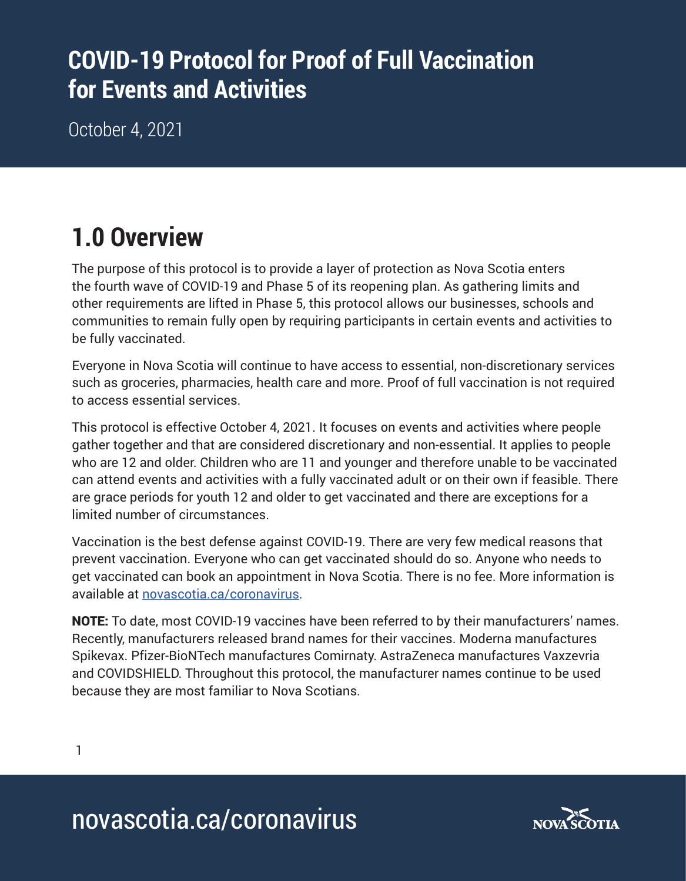## **COVID-19 Protocol for Proof of Full Vaccination for Events and Activities**

October 4, 2021

## **1.0 Overview**

The purpose of this protocol is to provide a layer of protection as Nova Scotia enters the fourth wave of COVID-19 and Phase 5 of its reopening plan. As gathering limits and other requirements are lifted in Phase 5, this protocol allows our businesses, schools and communities to remain fully open by requiring participants in certain events and activities to be fully vaccinated.

Everyone in Nova Scotia will continue to have access to essential, non-discretionary services such as groceries, pharmacies, health care and more. Proof of full vaccination is not required to access essential services.

This protocol is effective October 4, 2021. It focuses on events and activities where people gather together and that are considered discretionary and non-essential. It applies to people who are 12 and older. Children who are 11 and younger and therefore unable to be vaccinated can attend events and activities with a fully vaccinated adult or on their own if feasible. There are grace periods for youth 12 and older to get vaccinated and there are exceptions for a limited number of circumstances.

Vaccination is the best defense against COVID-19. There are very few medical reasons that prevent vaccination. Everyone who can get vaccinated should do so. Anyone who needs to get vaccinated can book an appointment in Nova Scotia. There is no fee. More information is available at novascotia.ca/coronavirus.

NOTE: To date, most COVID-19 vaccines have been referred to by their manufacturers' names. Recently, manufacturers released brand names for their vaccines. Moderna manufactures Spikevax. Pfizer-BioNTech manufactures Comirnaty. AstraZeneca manufactures Vaxzevria and COVIDSHIELD. Throughout this protocol, the manufacturer names continue to be used because they are most familiar to Nova Scotians.

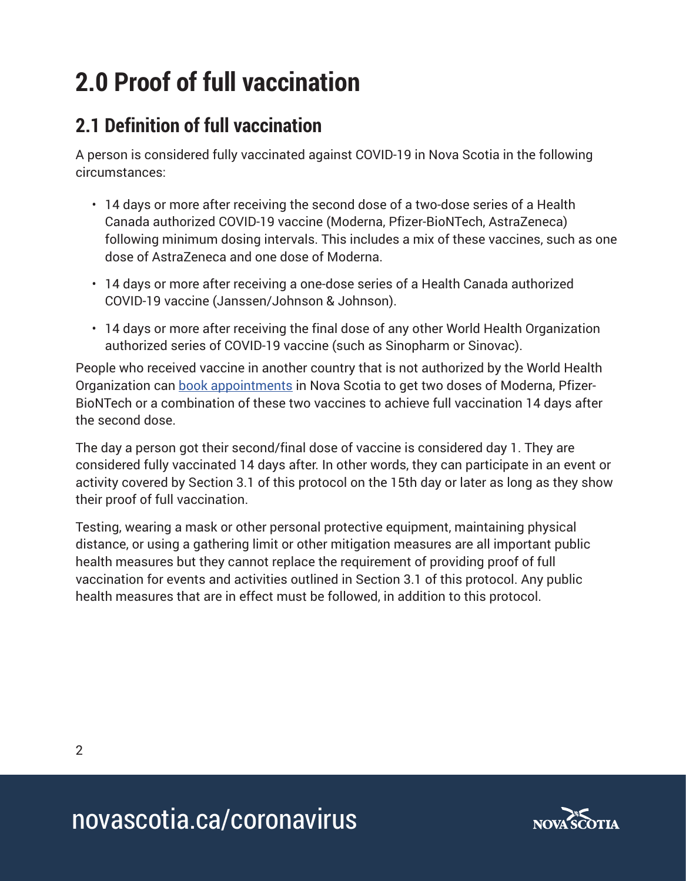# **2.0 Proof of full vaccination**

### **2.1 Definition of full vaccination**

A person is considered fully vaccinated against COVID-19 in Nova Scotia in the following circumstances:

- 14 days or more after receiving the second dose of a two-dose series of a Health Canada authorized COVID-19 vaccine (Moderna, Pfizer-BioNTech, AstraZeneca) following minimum dosing intervals. This includes a mix of these vaccines, such as one dose of AstraZeneca and one dose of Moderna.
- 14 days or more after receiving a one-dose series of a Health Canada authorized COVID-19 vaccine (Janssen/Johnson & Johnson).
- 14 days or more after receiving the final dose of any other World Health Organization authorized series of COVID-19 vaccine (such as Sinopharm or Sinovac).

People who received vaccine in another country that is not authorized by the World Health Organization can book appointments in Nova Scotia to get two doses of Moderna, Pfizer-BioNTech or a combination of these two vaccines to achieve full vaccination 14 days after the second dose.

The day a person got their second/final dose of vaccine is considered day 1. They are considered fully vaccinated 14 days after. In other words, they can participate in an event or activity covered by Section 3.1 of this protocol on the 15th day or later as long as they show their proof of full vaccination.

Testing, wearing a mask or other personal protective equipment, maintaining physical distance, or using a gathering limit or other mitigation measures are all important public health measures but they cannot replace the requirement of providing proof of full vaccination for events and activities outlined in Section 3.1 of this protocol. Any public health measures that are in effect must be followed, in addition to this protocol.

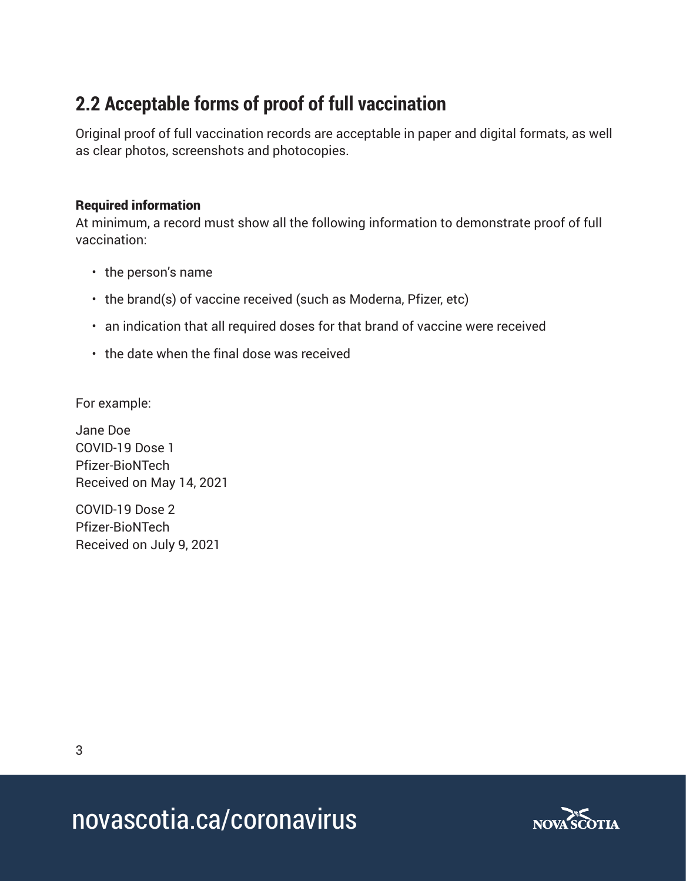### **2.2 Acceptable forms of proof of full vaccination**

Original proof of full vaccination records are acceptable in paper and digital formats, as well as clear photos, screenshots and photocopies.

#### Required information

At minimum, a record must show all the following information to demonstrate proof of full vaccination:

- the person's name
- the brand(s) of vaccine received (such as Moderna, Pfizer, etc)
- an indication that all required doses for that brand of vaccine were received
- the date when the final dose was received

For example:

Jane Doe COVID-19 Dose 1 Pfizer-BioNTech Received on May 14, 2021

COVID-19 Dose 2 Pfizer-BioNTech Received on July 9, 2021

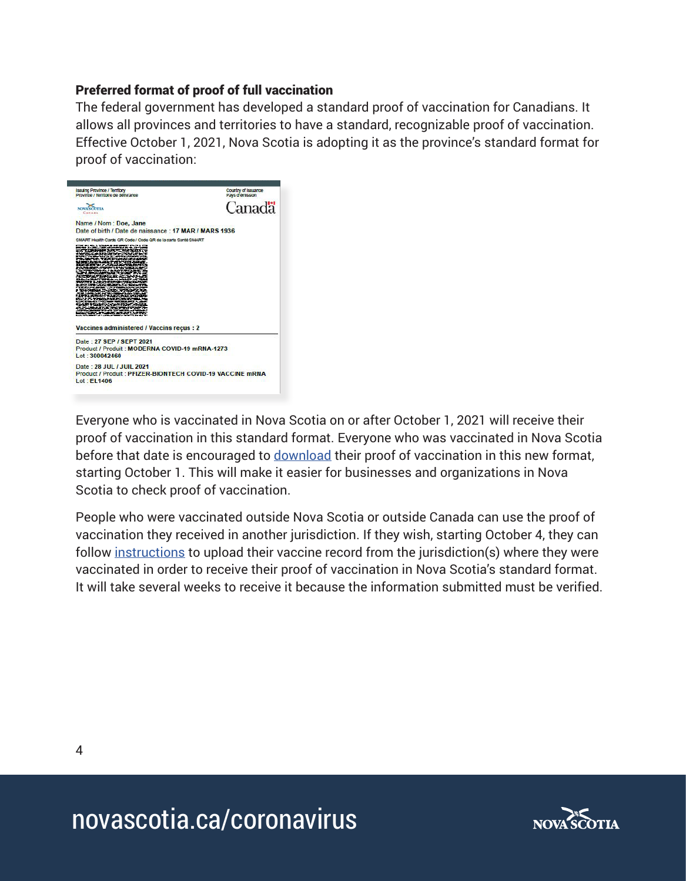#### Preferred format of proof of full vaccination

The federal government has developed a standard proof of vaccination for Canadians. It allows all provinces and territories to have a standard, recognizable proof of vaccination. Effective October 1, 2021, Nova Scotia is adopting it as the province's standard format for proof of vaccination:



Everyone who is vaccinated in Nova Scotia on or after October 1, 2021 will receive their proof of vaccination in this standard format. Everyone who was vaccinated in Nova Scotia before that date is encouraged to download their proof of vaccination in this new format, starting October 1. This will make it easier for businesses and organizations in Nova Scotia to check proof of vaccination.

People who were vaccinated outside Nova Scotia or outside Canada can use the proof of vaccination they received in another jurisdiction. If they wish, starting October 4, they can follow instructions to upload their vaccine record from the jurisdiction(s) where they were vaccinated in order to receive their proof of vaccination in Nova Scotia's standard format. It will take several weeks to receive it because the information submitted must be verified.

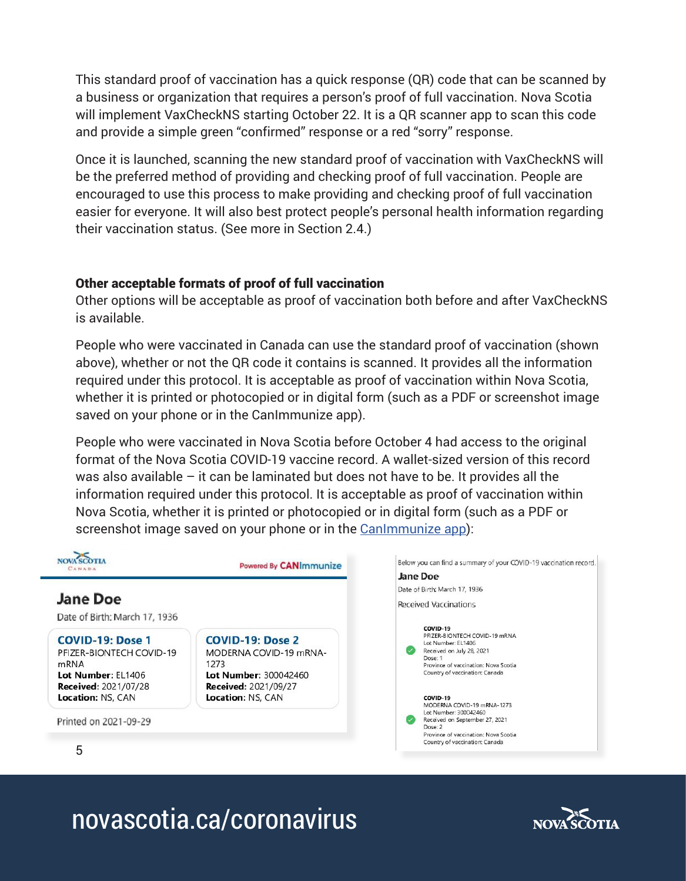This standard proof of vaccination has a quick response (QR) code that can be scanned by a business or organization that requires a person's proof of full vaccination. Nova Scotia will implement VaxCheckNS starting October 22. It is a QR scanner app to scan this code and provide a simple green "confirmed" response or a red "sorry" response.

Once it is launched, scanning the new standard proof of vaccination with VaxCheckNS will be the preferred method of providing and checking proof of full vaccination. People are encouraged to use this process to make providing and checking proof of full vaccination easier for everyone. It will also best protect people's personal health information regarding their vaccination status. (See more in Section 2.4.)

#### Other acceptable formats of proof of full vaccination

Other options will be acceptable as proof of vaccination both before and after VaxCheckNS is available.

People who were vaccinated in Canada can use the standard proof of vaccination (shown above), whether or not the QR code it contains is scanned. It provides all the information required under this protocol. It is acceptable as proof of vaccination within Nova Scotia, whether it is printed or photocopied or in digital form (such as a PDF or screenshot image saved on your phone or in the CanImmunize app).

People who were vaccinated in Nova Scotia before October 4 had access to the original format of the Nova Scotia COVID-19 vaccine record. A wallet-sized version of this record was also available – it can be laminated but does not have to be. It provides all the information required under this protocol. It is acceptable as proof of vaccination within Nova Scotia, whether it is printed or photocopied or in digital form (such as a PDF or screenshot image saved on your phone or in the CanImmunize app):



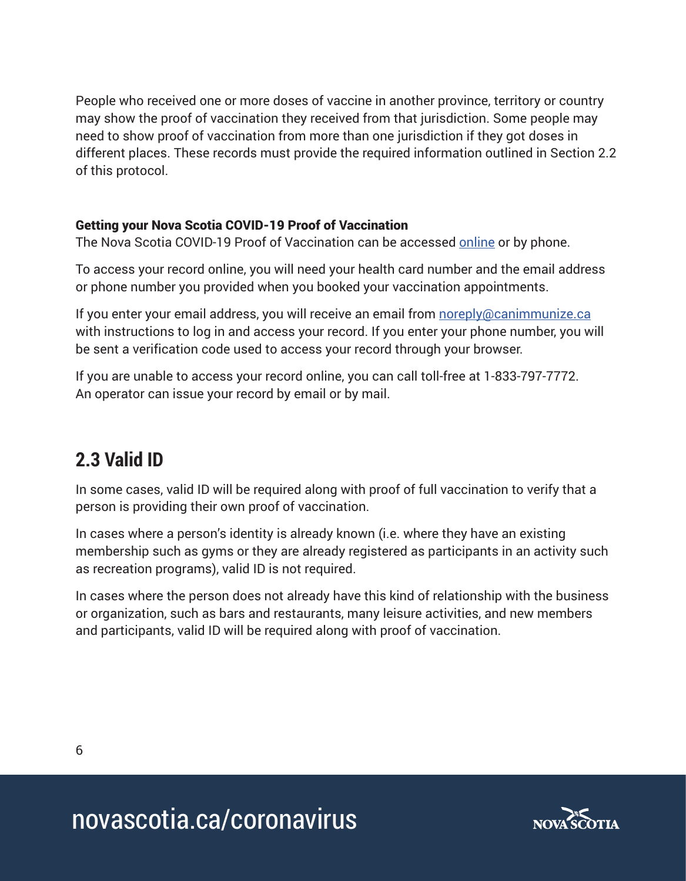People who received one or more doses of vaccine in another province, territory or country may show the proof of vaccination they received from that jurisdiction. Some people may need to show proof of vaccination from more than one jurisdiction if they got doses in different places. These records must provide the required information outlined in Section 2.2 of this protocol.

#### Getting your Nova Scotia COVID-19 Proof of Vaccination

The Nova Scotia COVID-19 Proof of Vaccination can be accessed online or by phone.

To access your record online, you will need your health card number and the email address or phone number you provided when you booked your vaccination appointments.

If you enter your email address, you will receive an email from noreply@canimmunize.ca with instructions to log in and access your record. If you enter your phone number, you will be sent a verification code used to access your record through your browser.

If you are unable to access your record online, you can call toll-free at 1-833-797-7772. An operator can issue your record by email or by mail.

### **2.3 Valid ID**

In some cases, valid ID will be required along with proof of full vaccination to verify that a person is providing their own proof of vaccination.

In cases where a person's identity is already known (i.e. where they have an existing membership such as gyms or they are already registered as participants in an activity such as recreation programs), valid ID is not required.

In cases where the person does not already have this kind of relationship with the business or organization, such as bars and restaurants, many leisure activities, and new members and participants, valid ID will be required along with proof of vaccination.

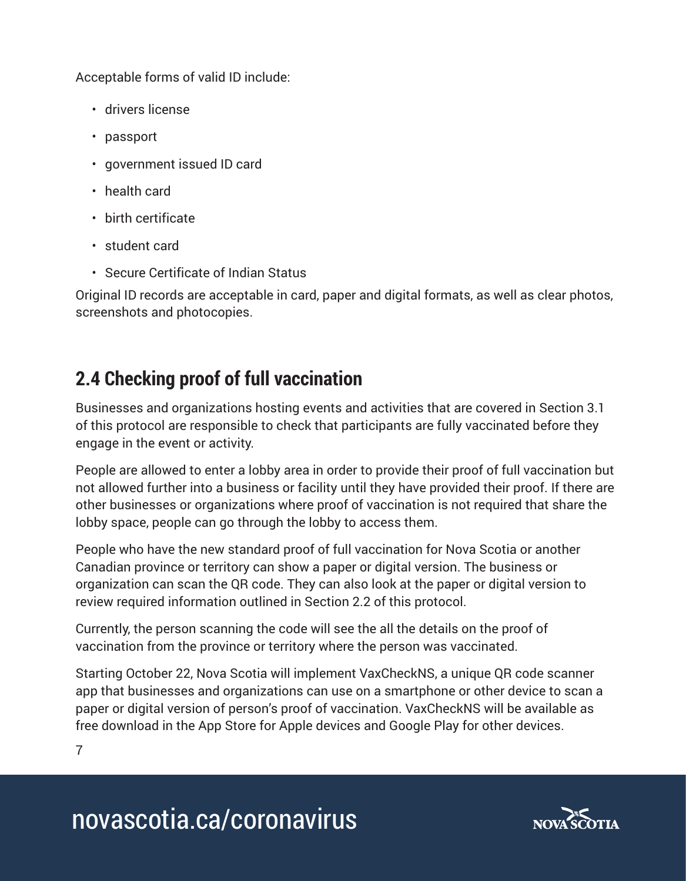Acceptable forms of valid ID include:

- drivers license
- passport
- government issued ID card
- health card
- birth certificate
- student card
- Secure Certificate of Indian Status

Original ID records are acceptable in card, paper and digital formats, as well as clear photos, screenshots and photocopies.

### **2.4 Checking proof of full vaccination**

Businesses and organizations hosting events and activities that are covered in Section 3.1 of this protocol are responsible to check that participants are fully vaccinated before they engage in the event or activity.

People are allowed to enter a lobby area in order to provide their proof of full vaccination but not allowed further into a business or facility until they have provided their proof. If there are other businesses or organizations where proof of vaccination is not required that share the lobby space, people can go through the lobby to access them.

People who have the new standard proof of full vaccination for Nova Scotia or another Canadian province or territory can show a paper or digital version. The business or organization can scan the QR code. They can also look at the paper or digital version to review required information outlined in Section 2.2 of this protocol.

Currently, the person scanning the code will see the all the details on the proof of vaccination from the province or territory where the person was vaccinated.

Starting October 22, Nova Scotia will implement VaxCheckNS, a unique QR code scanner app that businesses and organizations can use on a smartphone or other device to scan a paper or digital version of person's proof of vaccination. VaxCheckNS will be available as free download in the App Store for Apple devices and Google Play for other devices.

7

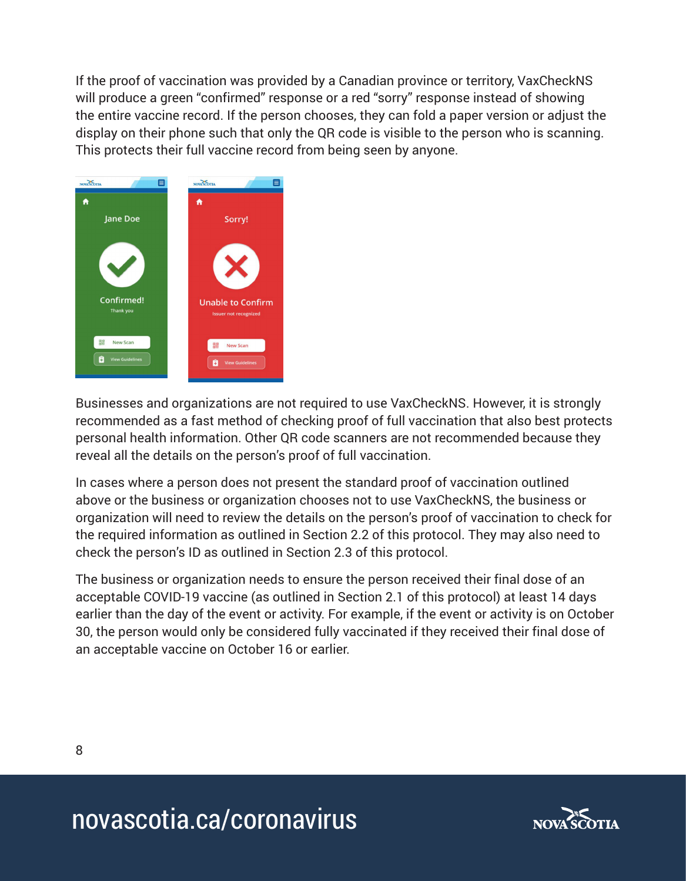If the proof of vaccination was provided by a Canadian province or territory, VaxCheckNS will produce a green "confirmed" response or a red "sorry" response instead of showing the entire vaccine record. If the person chooses, they can fold a paper version or adjust the display on their phone such that only the QR code is visible to the person who is scanning. This protects their full vaccine record from being seen by anyone.



Businesses and organizations are not required to use VaxCheckNS. However, it is strongly recommended as a fast method of checking proof of full vaccination that also best protects personal health information. Other QR code scanners are not recommended because they reveal all the details on the person's proof of full vaccination.

In cases where a person does not present the standard proof of vaccination outlined above or the business or organization chooses not to use VaxCheckNS, the business or organization will need to review the details on the person's proof of vaccination to check for the required information as outlined in Section 2.2 of this protocol. They may also need to check the person's ID as outlined in Section 2.3 of this protocol.

The business or organization needs to ensure the person received their final dose of an acceptable COVID-19 vaccine (as outlined in Section 2.1 of this protocol) at least 14 days earlier than the day of the event or activity. For example, if the event or activity is on October 30, the person would only be considered fully vaccinated if they received their final dose of an acceptable vaccine on October 16 or earlier.

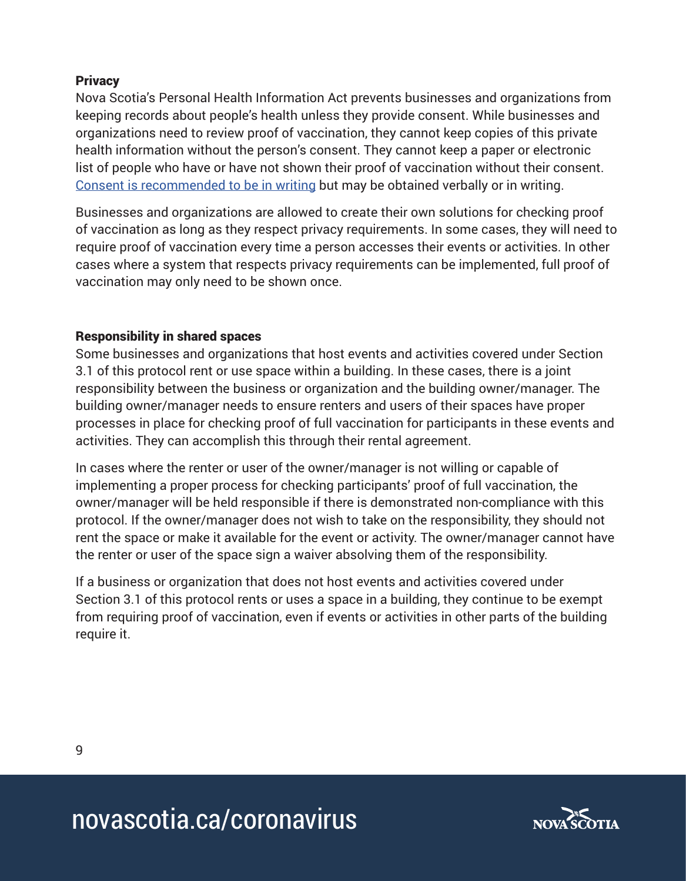#### **Privacy**

Nova Scotia's Personal Health Information Act prevents businesses and organizations from keeping records about people's health unless they provide consent. While businesses and organizations need to review proof of vaccination, they cannot keep copies of this private health information without the person's consent. They cannot keep a paper or electronic list of people who have or have not shown their proof of vaccination without their consent. Consent is recommended to be in writing but may be obtained verbally or in writing.

Businesses and organizations are allowed to create their own solutions for checking proof of vaccination as long as they respect privacy requirements. In some cases, they will need to require proof of vaccination every time a person accesses their events or activities. In other cases where a system that respects privacy requirements can be implemented, full proof of vaccination may only need to be shown once.

#### Responsibility in shared spaces

Some businesses and organizations that host events and activities covered under Section 3.1 of this protocol rent or use space within a building. In these cases, there is a joint responsibility between the business or organization and the building owner/manager. The building owner/manager needs to ensure renters and users of their spaces have proper processes in place for checking proof of full vaccination for participants in these events and activities. They can accomplish this through their rental agreement.

In cases where the renter or user of the owner/manager is not willing or capable of implementing a proper process for checking participants' proof of full vaccination, the owner/manager will be held responsible if there is demonstrated non-compliance with this protocol. If the owner/manager does not wish to take on the responsibility, they should not rent the space or make it available for the event or activity. The owner/manager cannot have the renter or user of the space sign a waiver absolving them of the responsibility.

If a business or organization that does not host events and activities covered under Section 3.1 of this protocol rents or uses a space in a building, they continue to be exempt from requiring proof of vaccination, even if events or activities in other parts of the building require it.

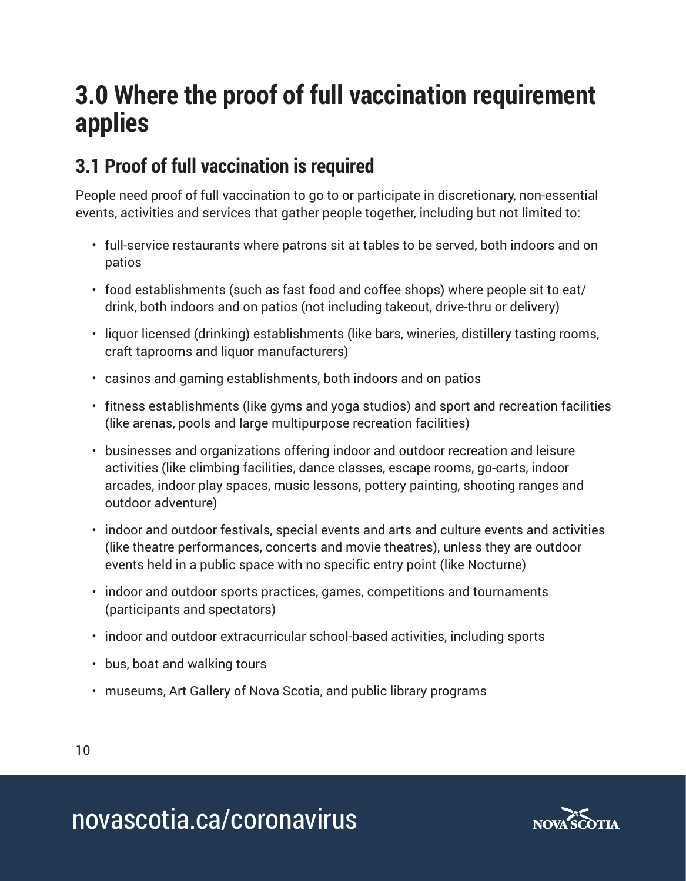## **3.0 Where the proof of full vaccination requirement applies**

## **3.1 Proof of full vaccination is required**

People need proof of full vaccination to go to or participate in discretionary, non-essential events, activities and services that gather people together, including but not limited to:

- full-service restaurants where patrons sit at tables to be served, both indoors and on patios
- food establishments (such as fast food and coffee shops) where people sit to eat/ drink, both indoors and on patios (not including takeout, drive-thru or delivery)
- liquor licensed (drinking) establishments (like bars, wineries, distillery tasting rooms, craft taprooms and liquor manufacturers)
- casinos and gaming establishments, both indoors and on patios
- fitness establishments (like gyms and yoga studios) and sport and recreation facilities (like arenas, pools and large multipurpose recreation facilities)
- businesses and organizations offering indoor and outdoor recreation and leisure activities (like climbing facilities, dance classes, escape rooms, go-carts, indoor arcades, indoor play spaces, music lessons, pottery painting, shooting ranges and outdoor adventure)
- indoor and outdoor festivals, special events and arts and culture events and activities (like theatre performances, concerts and movie theatres), unless they are outdoor events held in a public space with no specific entry point (like Nocturne)
- indoor and outdoor sports practices, games, competitions and tournaments (participants and spectators)
- indoor and outdoor extracurricular school-based activities, including sports
- bus, boat and walking tours
- museums, Art Gallery of Nova Scotia, and public library programs

10

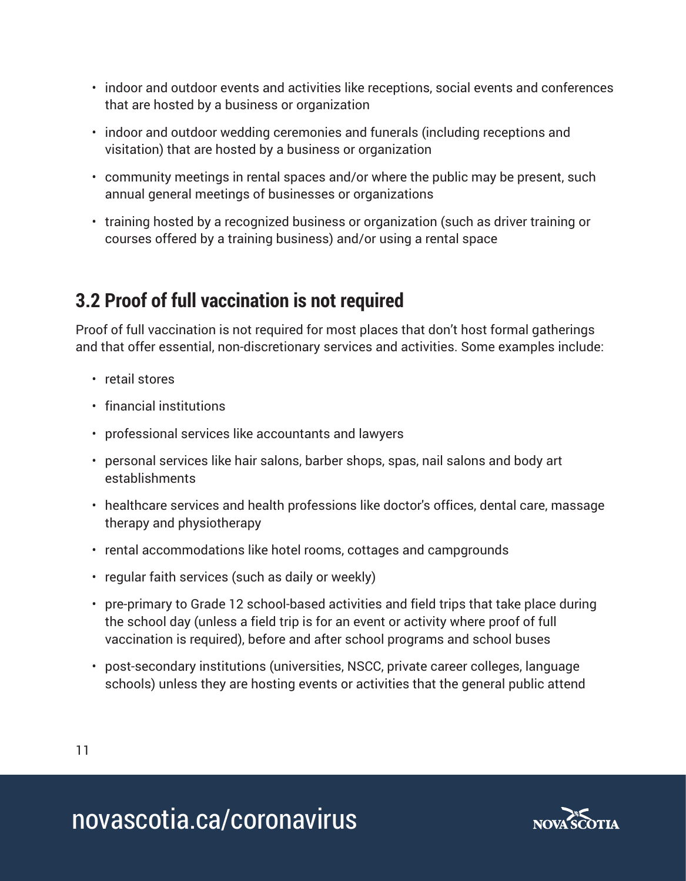- indoor and outdoor events and activities like receptions, social events and conferences that are hosted by a business or organization
- indoor and outdoor wedding ceremonies and funerals (including receptions and visitation) that are hosted by a business or organization
- community meetings in rental spaces and/or where the public may be present, such annual general meetings of businesses or organizations
- training hosted by a recognized business or organization (such as driver training or courses offered by a training business) and/or using a rental space

### **3.2 Proof of full vaccination is not required**

Proof of full vaccination is not required for most places that don't host formal gatherings and that offer essential, non-discretionary services and activities. Some examples include:

- retail stores
- financial institutions
- professional services like accountants and lawyers
- personal services like hair salons, barber shops, spas, nail salons and body art establishments
- healthcare services and health professions like doctor's offices, dental care, massage therapy and physiotherapy
- rental accommodations like hotel rooms, cottages and campgrounds
- regular faith services (such as daily or weekly)
- pre-primary to Grade 12 school-based activities and field trips that take place during the school day (unless a field trip is for an event or activity where proof of full vaccination is required), before and after school programs and school buses
- post-secondary institutions (universities, NSCC, private career colleges, language schools) unless they are hosting events or activities that the general public attend

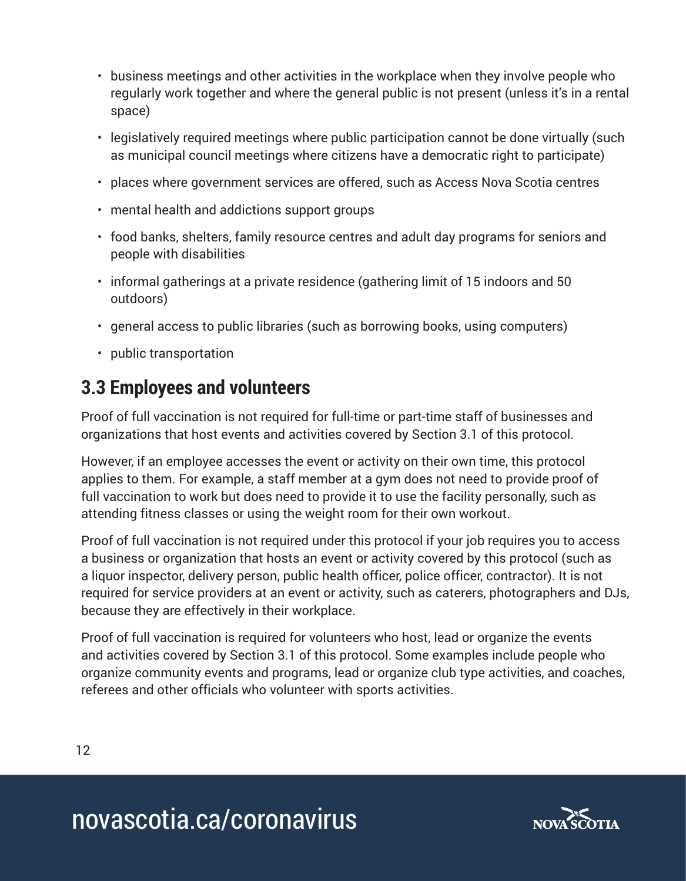- business meetings and other activities in the workplace when they involve people who regularly work together and where the general public is not present (unless it's in a rental space)
- legislatively required meetings where public participation cannot be done virtually (such as municipal council meetings where citizens have a democratic right to participate)
- places where government services are offered, such as Access Nova Scotia centres
- mental health and addictions support groups
- food banks, shelters, family resource centres and adult day programs for seniors and people with disabilities
- informal gatherings at a private residence (gathering limit of 15 indoors and 50 outdoors)
- general access to public libraries (such as borrowing books, using computers)
- public transportation

### **3.3 Employees and volunteers**

Proof of full vaccination is not required for full-time or part-time staff of businesses and organizations that host events and activities covered by Section 3.1 of this protocol.

However, if an employee accesses the event or activity on their own time, this protocol applies to them. For example, a staff member at a gym does not need to provide proof of full vaccination to work but does need to provide it to use the facility personally, such as attending fitness classes or using the weight room for their own workout.

Proof of full vaccination is not required under this protocol if your job requires you to access a business or organization that hosts an event or activity covered by this protocol (such as a liquor inspector, delivery person, public health officer, police officer, contractor). It is not required for service providers at an event or activity, such as caterers, photographers and DJs, because they are effectively in their workplace.

Proof of full vaccination is required for volunteers who host, lead or organize the events and activities covered by Section 3.1 of this protocol. Some examples include people who organize community events and programs, lead or organize club type activities, and coaches, referees and other officials who volunteer with sports activities.

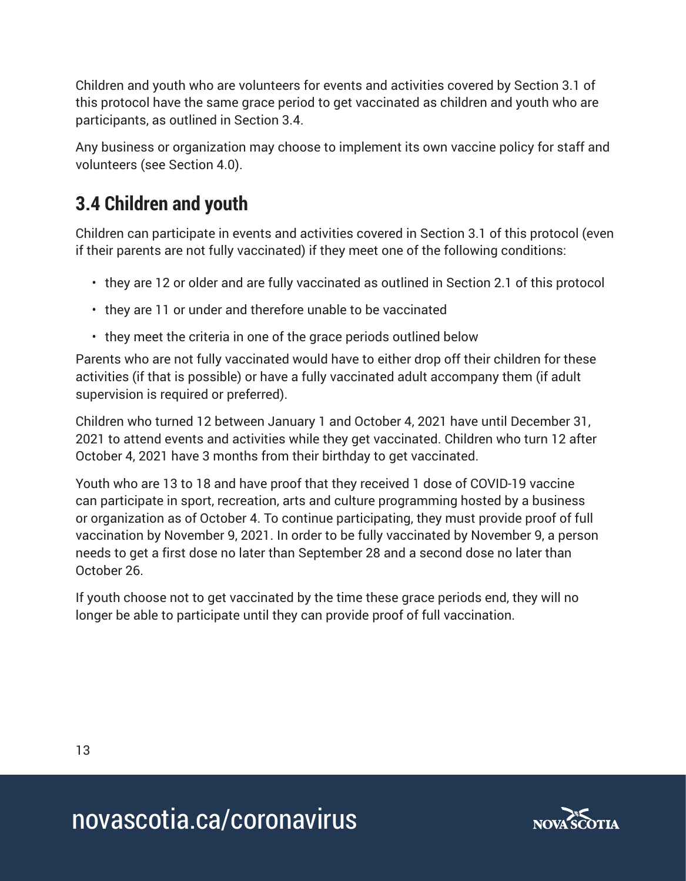Children and youth who are volunteers for events and activities covered by Section 3.1 of this protocol have the same grace period to get vaccinated as children and youth who are participants, as outlined in Section 3.4.

Any business or organization may choose to implement its own vaccine policy for staff and volunteers (see Section 4.0).

## **3.4 Children and youth**

Children can participate in events and activities covered in Section 3.1 of this protocol (even if their parents are not fully vaccinated) if they meet one of the following conditions:

- they are 12 or older and are fully vaccinated as outlined in Section 2.1 of this protocol
- they are 11 or under and therefore unable to be vaccinated
- they meet the criteria in one of the grace periods outlined below

Parents who are not fully vaccinated would have to either drop off their children for these activities (if that is possible) or have a fully vaccinated adult accompany them (if adult supervision is required or preferred).

Children who turned 12 between January 1 and October 4, 2021 have until December 31, 2021 to attend events and activities while they get vaccinated. Children who turn 12 after October 4, 2021 have 3 months from their birthday to get vaccinated.

Youth who are 13 to 18 and have proof that they received 1 dose of COVID-19 vaccine can participate in sport, recreation, arts and culture programming hosted by a business or organization as of October 4. To continue participating, they must provide proof of full vaccination by November 9, 2021. In order to be fully vaccinated by November 9, a person needs to get a first dose no later than September 28 and a second dose no later than October 26.

If youth choose not to get vaccinated by the time these grace periods end, they will no longer be able to participate until they can provide proof of full vaccination.

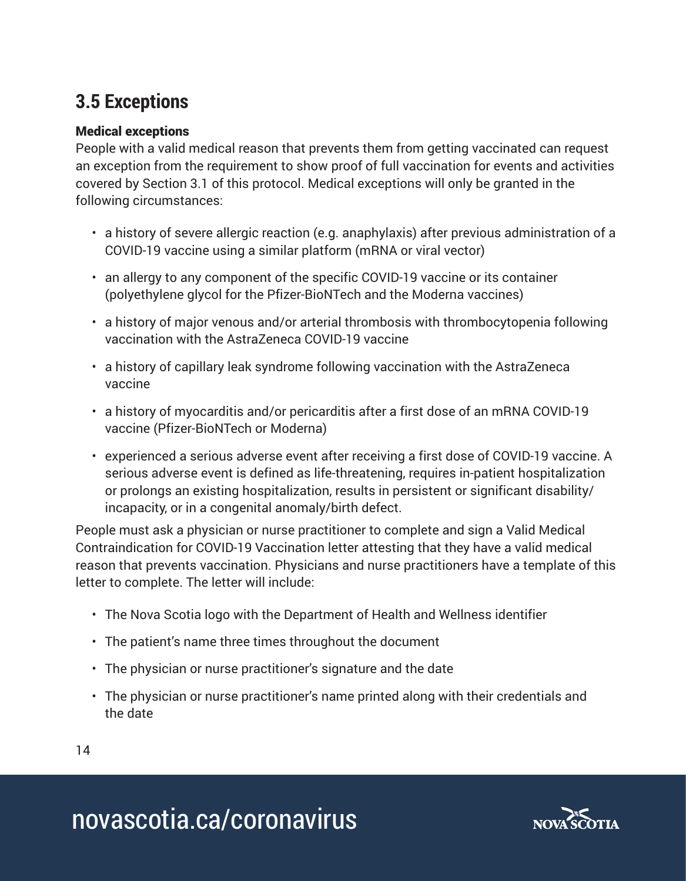### **3.5 Exceptions**

#### Medical exceptions

People with a valid medical reason that prevents them from getting vaccinated can request an exception from the requirement to show proof of full vaccination for events and activities covered by Section 3.1 of this protocol. Medical exceptions will only be granted in the following circumstances:

- a history of severe allergic reaction (e.g. anaphylaxis) after previous administration of a COVID-19 vaccine using a similar platform (mRNA or viral vector)
- an allergy to any component of the specific COVID-19 vaccine or its container (polyethylene glycol for the Pfizer-BioNTech and the Moderna vaccines)
- a history of major venous and/or arterial thrombosis with thrombocytopenia following vaccination with the AstraZeneca COVID-19 vaccine
- a history of capillary leak syndrome following vaccination with the AstraZeneca vaccine
- a history of myocarditis and/or pericarditis after a first dose of an mRNA COVID-19 vaccine (Pfizer-BioNTech or Moderna)
- experienced a serious adverse event after receiving a first dose of COVID-19 vaccine. A serious adverse event is defined as life-threatening, requires in-patient hospitalization or prolongs an existing hospitalization, results in persistent or significant disability/ incapacity, or in a congenital anomaly/birth defect.

People must ask a physician or nurse practitioner to complete and sign a Valid Medical Contraindication for COVID-19 Vaccination letter attesting that they have a valid medical reason that prevents vaccination. Physicians and nurse practitioners have a template of this letter to complete. The letter will include:

- The Nova Scotia logo with the Department of Health and Wellness identifier
- The patient's name three times throughout the document
- The physician or nurse practitioner's signature and the date
- The physician or nurse practitioner's name printed along with their credentials and the date
- 14

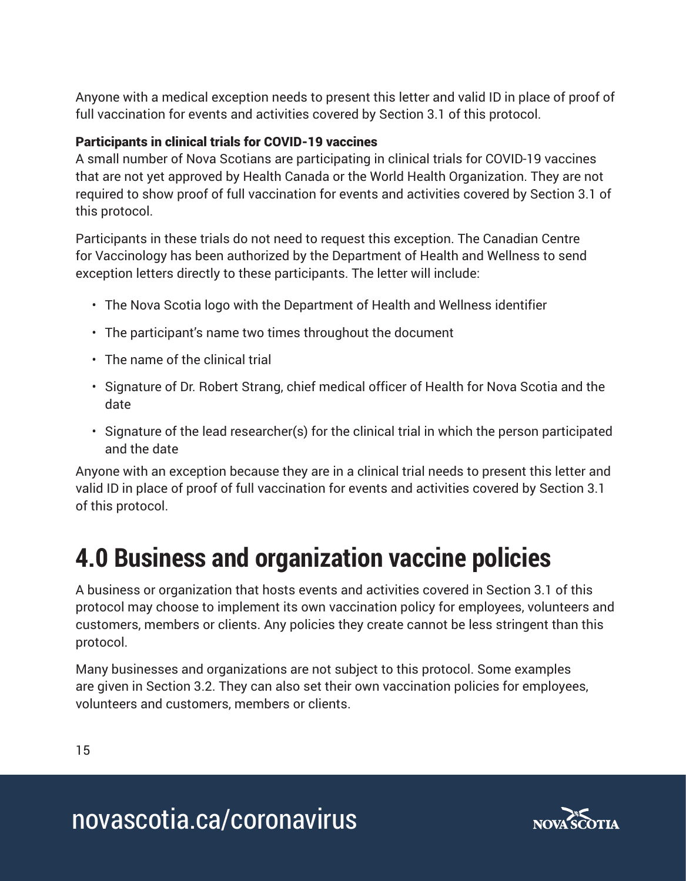Anyone with a medical exception needs to present this letter and valid ID in place of proof of full vaccination for events and activities covered by Section 3.1 of this protocol.

#### Participants in clinical trials for COVID-19 vaccines

A small number of Nova Scotians are participating in clinical trials for COVID-19 vaccines that are not yet approved by Health Canada or the World Health Organization. They are not required to show proof of full vaccination for events and activities covered by Section 3.1 of this protocol.

Participants in these trials do not need to request this exception. The Canadian Centre for Vaccinology has been authorized by the Department of Health and Wellness to send exception letters directly to these participants. The letter will include:

- The Nova Scotia logo with the Department of Health and Wellness identifier
- The participant's name two times throughout the document
- The name of the clinical trial
- Signature of Dr. Robert Strang, chief medical officer of Health for Nova Scotia and the date
- Signature of the lead researcher(s) for the clinical trial in which the person participated and the date

Anyone with an exception because they are in a clinical trial needs to present this letter and valid ID in place of proof of full vaccination for events and activities covered by Section 3.1 of this protocol.

# **4.0 Business and organization vaccine policies**

A business or organization that hosts events and activities covered in Section 3.1 of this protocol may choose to implement its own vaccination policy for employees, volunteers and customers, members or clients. Any policies they create cannot be less stringent than this protocol.

Many businesses and organizations are not subject to this protocol. Some examples are given in Section 3.2. They can also set their own vaccination policies for employees, volunteers and customers, members or clients.

15

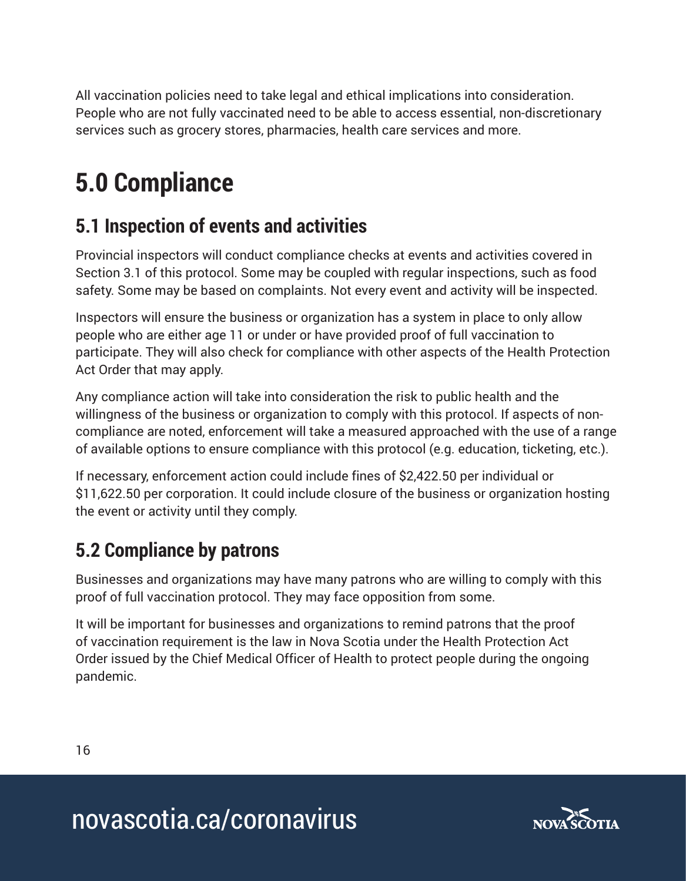All vaccination policies need to take legal and ethical implications into consideration. People who are not fully vaccinated need to be able to access essential, non-discretionary services such as grocery stores, pharmacies, health care services and more.

# **5.0 Compliance**

### **5.1 Inspection of events and activities**

Provincial inspectors will conduct compliance checks at events and activities covered in Section 3.1 of this protocol. Some may be coupled with regular inspections, such as food safety. Some may be based on complaints. Not every event and activity will be inspected.

Inspectors will ensure the business or organization has a system in place to only allow people who are either age 11 or under or have provided proof of full vaccination to participate. They will also check for compliance with other aspects of the Health Protection Act Order that may apply.

Any compliance action will take into consideration the risk to public health and the willingness of the business or organization to comply with this protocol. If aspects of noncompliance are noted, enforcement will take a measured approached with the use of a range of available options to ensure compliance with this protocol (e.g. education, ticketing, etc.).

If necessary, enforcement action could include fines of \$2,422.50 per individual or \$11,622.50 per corporation. It could include closure of the business or organization hosting the event or activity until they comply.

## **5.2 Compliance by patrons**

Businesses and organizations may have many patrons who are willing to comply with this proof of full vaccination protocol. They may face opposition from some.

It will be important for businesses and organizations to remind patrons that the proof of vaccination requirement is the law in Nova Scotia under the Health Protection Act Order issued by the Chief Medical Officer of Health to protect people during the ongoing pandemic.